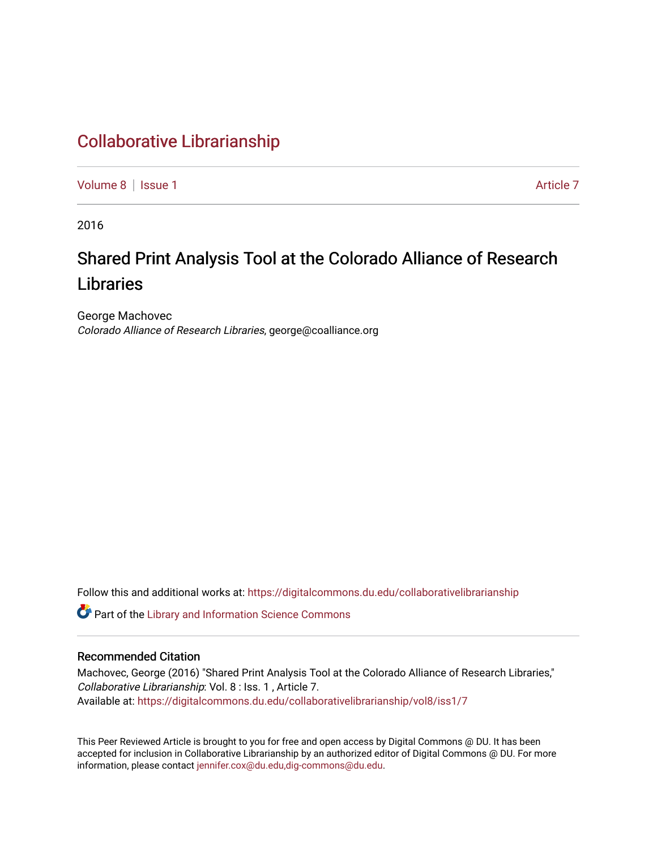# [Collaborative Librarianship](https://digitalcommons.du.edu/collaborativelibrarianship)

[Volume 8](https://digitalcommons.du.edu/collaborativelibrarianship/vol8) | [Issue 1](https://digitalcommons.du.edu/collaborativelibrarianship/vol8/iss1) Article 7

2016

# Shared Print Analysis Tool at the Colorado Alliance of Research Libraries

George Machovec Colorado Alliance of Research Libraries, george@coalliance.org

Follow this and additional works at: [https://digitalcommons.du.edu/collaborativelibrarianship](https://digitalcommons.du.edu/collaborativelibrarianship?utm_source=digitalcommons.du.edu%2Fcollaborativelibrarianship%2Fvol8%2Fiss1%2F7&utm_medium=PDF&utm_campaign=PDFCoverPages) 

Part of the [Library and Information Science Commons](http://network.bepress.com/hgg/discipline/1018?utm_source=digitalcommons.du.edu%2Fcollaborativelibrarianship%2Fvol8%2Fiss1%2F7&utm_medium=PDF&utm_campaign=PDFCoverPages) 

## Recommended Citation

Machovec, George (2016) "Shared Print Analysis Tool at the Colorado Alliance of Research Libraries," Collaborative Librarianship: Vol. 8 : Iss. 1 , Article 7. Available at: [https://digitalcommons.du.edu/collaborativelibrarianship/vol8/iss1/7](https://digitalcommons.du.edu/collaborativelibrarianship/vol8/iss1/7?utm_source=digitalcommons.du.edu%2Fcollaborativelibrarianship%2Fvol8%2Fiss1%2F7&utm_medium=PDF&utm_campaign=PDFCoverPages) 

This Peer Reviewed Article is brought to you for free and open access by Digital Commons @ DU. It has been accepted for inclusion in Collaborative Librarianship by an authorized editor of Digital Commons @ DU. For more information, please contact [jennifer.cox@du.edu,dig-commons@du.edu.](mailto:jennifer.cox@du.edu,dig-commons@du.edu)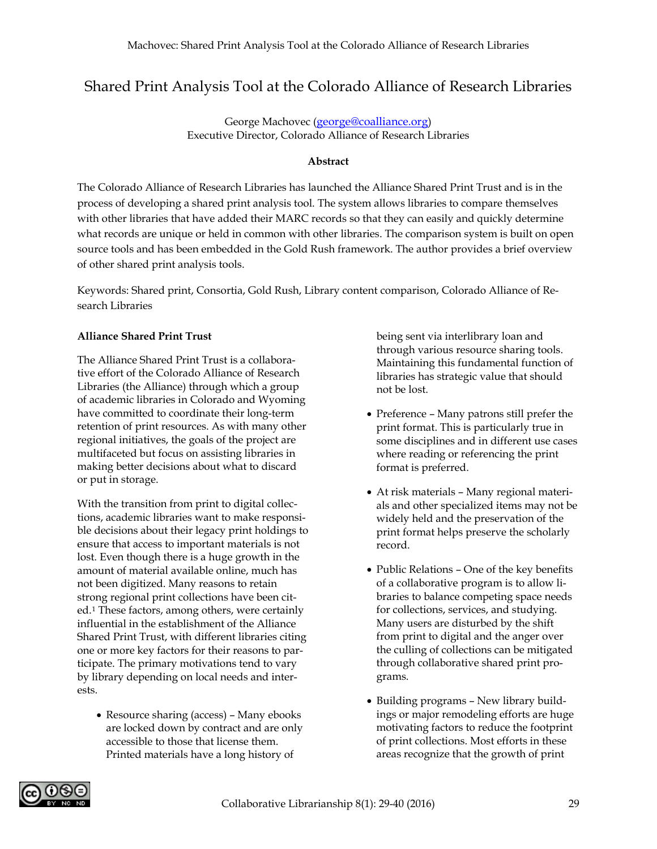# Shared Print Analysis Tool at the Colorado Alliance of Research Libraries

George Machovec [\(george@coalliance.org\)](mailto:george@coalliance.org) Executive Director, Colorado Alliance of Research Libraries

#### **Abstract**

The Colorado Alliance of Research Libraries has launched the Alliance Shared Print Trust and is in the process of developing a shared print analysis tool. The system allows libraries to compare themselves with other libraries that have added their MARC records so that they can easily and quickly determine what records are unique or held in common with other libraries. The comparison system is built on open source tools and has been embedded in the Gold Rush framework. The author provides a brief overview of other shared print analysis tools.

Keywords: Shared print, Consortia, Gold Rush, Library content comparison, Colorado Alliance of Research Libraries

#### **Alliance Shared Print Trust**

The Alliance Shared Print Trust is a collaborative effort of the Colorado Alliance of Research Libraries (the Alliance) through which a group of academic libraries in Colorado and Wyoming have committed to coordinate their long-term retention of print resources. As with many other regional initiatives, the goals of the project are multifaceted but focus on assisting libraries in making better decisions about what to discard or put in storage.

With the transition from print to digital collections, academic libraries want to make responsible decisions about their legacy print holdings to ensure that access to important materials is not lost. Even though there is a huge growth in the amount of material available online, much has not been digitized. Many reasons to retain strong regional print collections have been cited.[1](#page-8-0) These factors, among others, were certainly influential in the establishment of the Alliance Shared Print Trust, with different libraries citing one or more key factors for their reasons to participate. The primary motivations tend to vary by library depending on local needs and interests.

• Resource sharing (access) – Many ebooks are locked down by contract and are only accessible to those that license them. Printed materials have a long history of

being sent via interlibrary loan and through various resource sharing tools. Maintaining this fundamental function of libraries has strategic value that should not be lost.

- Preference Many patrons still prefer the print format. This is particularly true in some disciplines and in different use cases where reading or referencing the print format is preferred.
- At risk materials Many regional materials and other specialized items may not be widely held and the preservation of the print format helps preserve the scholarly record.
- Public Relations One of the key benefits of a collaborative program is to allow libraries to balance competing space needs for collections, services, and studying. Many users are disturbed by the shift from print to digital and the anger over the culling of collections can be mitigated through collaborative shared print programs.
- Building programs New library buildings or major remodeling efforts are huge motivating factors to reduce the footprint of print collections. Most efforts in these areas recognize that the growth of print

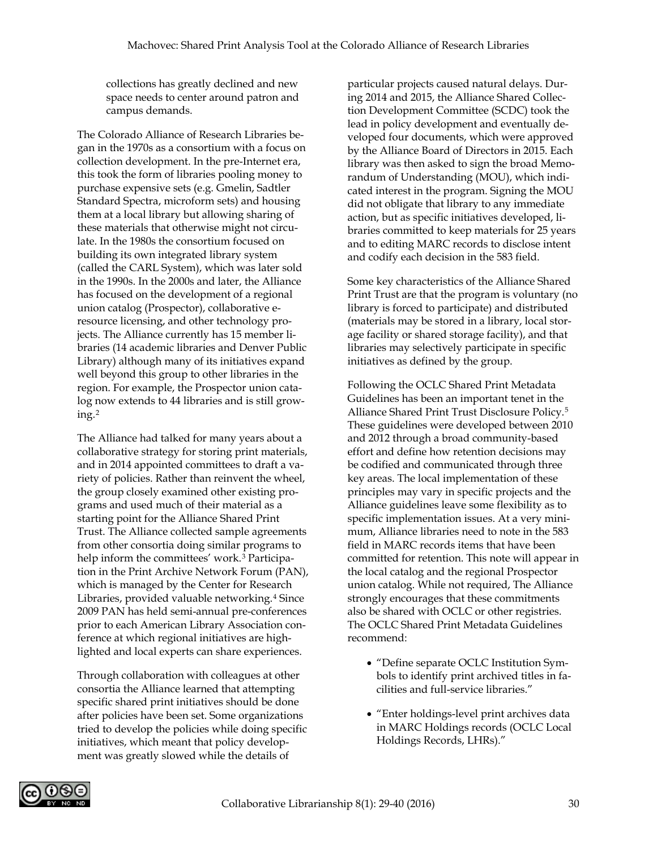collections has greatly declined and new space needs to center around patron and campus demands.

The Colorado Alliance of Research Libraries began in the 1970s as a consortium with a focus on collection development. In the pre-Internet era, this took the form of libraries pooling money to purchase expensive sets (e.g. Gmelin, Sadtler Standard Spectra, microform sets) and housing them at a local library but allowing sharing of these materials that otherwise might not circulate. In the 1980s the consortium focused on building its own integrated library system (called the CARL System), which was later sold in the 1990s. In the 2000s and later, the Alliance has focused on the development of a regional union catalog (Prospector), collaborative eresource licensing, and other technology projects. The Alliance currently has 15 member libraries (14 academic libraries and Denver Public Library) although many of its initiatives expand well beyond this group to other libraries in the region. For example, the Prospector union catalog now extends to 44 libraries and is still growing.[2](#page-9-0)

The Alliance had talked for many years about a collaborative strategy for storing print materials, and in 2014 appointed committees to draft a variety of policies. Rather than reinvent the wheel, the group closely examined other existing programs and used much of their material as a starting point for the Alliance Shared Print Trust. The Alliance collected sample agreements from other consortia doing similar programs to help inform the committees' work.<sup>[3](#page-9-1)</sup> Participation in the Print Archive Network Forum (PAN), which is managed by the Center for Research Libraries, provided valuable networking.<sup>[4](#page-9-2)</sup> Since 2009 PAN has held semi-annual pre-conferences prior to each American Library Association conference at which regional initiatives are highlighted and local experts can share experiences.

Through collaboration with colleagues at other consortia the Alliance learned that attempting specific shared print initiatives should be done after policies have been set. Some organizations tried to develop the policies while doing specific initiatives, which meant that policy development was greatly slowed while the details of

particular projects caused natural delays. During 2014 and 2015, the Alliance Shared Collection Development Committee (SCDC) took the lead in policy development and eventually developed four documents, which were approved by the Alliance Board of Directors in 2015. Each library was then asked to sign the broad Memorandum of Understanding (MOU), which indicated interest in the program. Signing the MOU did not obligate that library to any immediate action, but as specific initiatives developed, libraries committed to keep materials for 25 years and to editing MARC records to disclose intent and codify each decision in the 583 field.

Some key characteristics of the Alliance Shared Print Trust are that the program is voluntary (no library is forced to participate) and distributed (materials may be stored in a library, local storage facility or shared storage facility), and that libraries may selectively participate in specific initiatives as defined by the group.

Following the OCLC Shared Print Metadata Guidelines has been an important tenet in the Alliance Shared Print Trust Disclosure Policy.[5](#page-9-3) These guidelines were developed between 2010 and 2012 through a broad community-based effort and define how retention decisions may be codified and communicated through three key areas. The local implementation of these principles may vary in specific projects and the Alliance guidelines leave some flexibility as to specific implementation issues. At a very minimum, Alliance libraries need to note in the 583 field in MARC records items that have been committed for retention. This note will appear in the local catalog and the regional Prospector union catalog. While not required, The Alliance strongly encourages that these commitments also be shared with OCLC or other registries. The OCLC Shared Print Metadata Guidelines recommend:

- "Define separate OCLC Institution Symbols to identify print archived titles in facilities and full-service libraries."
- "Enter holdings-level print archives data in MARC Holdings records (OCLC Local Holdings Records, LHRs)."

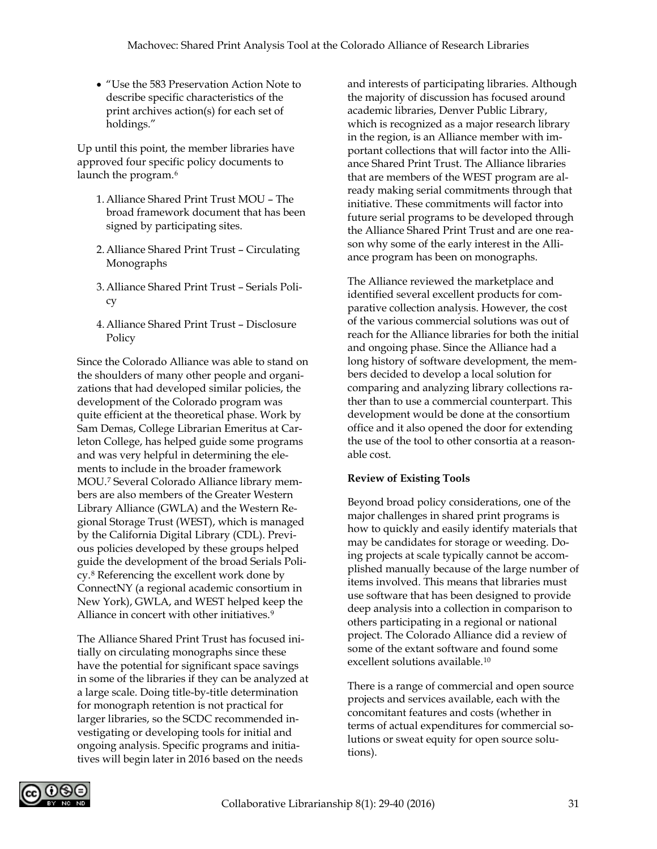• "Use the 583 Preservation Action Note to describe specific characteristics of the print archives action(s) for each set of holdings."

Up until this point, the member libraries have approved four specific policy documents to launch the program.<sup>[6](#page-9-4)</sup>

- 1.Alliance Shared Print Trust MOU The broad framework document that has been signed by participating sites.
- 2.Alliance Shared Print Trust Circulating Monographs
- 3.Alliance Shared Print Trust Serials Policy
- 4.Alliance Shared Print Trust Disclosure Policy

Since the Colorado Alliance was able to stand on the shoulders of many other people and organizations that had developed similar policies, the development of the Colorado program was quite efficient at the theoretical phase. Work by Sam Demas, College Librarian Emeritus at Carleton College, has helped guide some programs and was very helpful in determining the elements to include in the broader framework MOU.[7](#page-9-5) Several Colorado Alliance library members are also members of the Greater Western Library Alliance (GWLA) and the Western Regional Storage Trust (WEST), which is managed by the California Digital Library (CDL). Previous policies developed by these groups helped guide the development of the broad Serials Policy.[8](#page-9-6) Referencing the excellent work done by ConnectNY (a regional academic consortium in New York), GWLA, and WEST helped keep the Alliance in concert with other initiatives.<sup>[9](#page-9-7)</sup>

The Alliance Shared Print Trust has focused initially on circulating monographs since these have the potential for significant space savings in some of the libraries if they can be analyzed at a large scale. Doing title-by-title determination for monograph retention is not practical for larger libraries, so the SCDC recommended investigating or developing tools for initial and ongoing analysis. Specific programs and initiatives will begin later in 2016 based on the needs

and interests of participating libraries. Although the majority of discussion has focused around academic libraries, Denver Public Library, which is recognized as a major research library in the region, is an Alliance member with important collections that will factor into the Alliance Shared Print Trust. The Alliance libraries that are members of the WEST program are already making serial commitments through that initiative. These commitments will factor into future serial programs to be developed through the Alliance Shared Print Trust and are one reason why some of the early interest in the Alliance program has been on monographs.

The Alliance reviewed the marketplace and identified several excellent products for comparative collection analysis. However, the cost of the various commercial solutions was out of reach for the Alliance libraries for both the initial and ongoing phase. Since the Alliance had a long history of software development, the members decided to develop a local solution for comparing and analyzing library collections rather than to use a commercial counterpart. This development would be done at the consortium office and it also opened the door for extending the use of the tool to other consortia at a reasonable cost.

#### **Review of Existing Tools**

Beyond broad policy considerations, one of the major challenges in shared print programs is how to quickly and easily identify materials that may be candidates for storage or weeding. Doing projects at scale typically cannot be accomplished manually because of the large number of items involved. This means that libraries must use software that has been designed to provide deep analysis into a collection in comparison to others participating in a regional or national project. The Colorado Alliance did a review of some of the extant software and found some excellent solutions available.<sup>[10](#page-10-0)</sup>

There is a range of commercial and open source projects and services available, each with the concomitant features and costs (whether in terms of actual expenditures for commercial solutions or sweat equity for open source solutions).

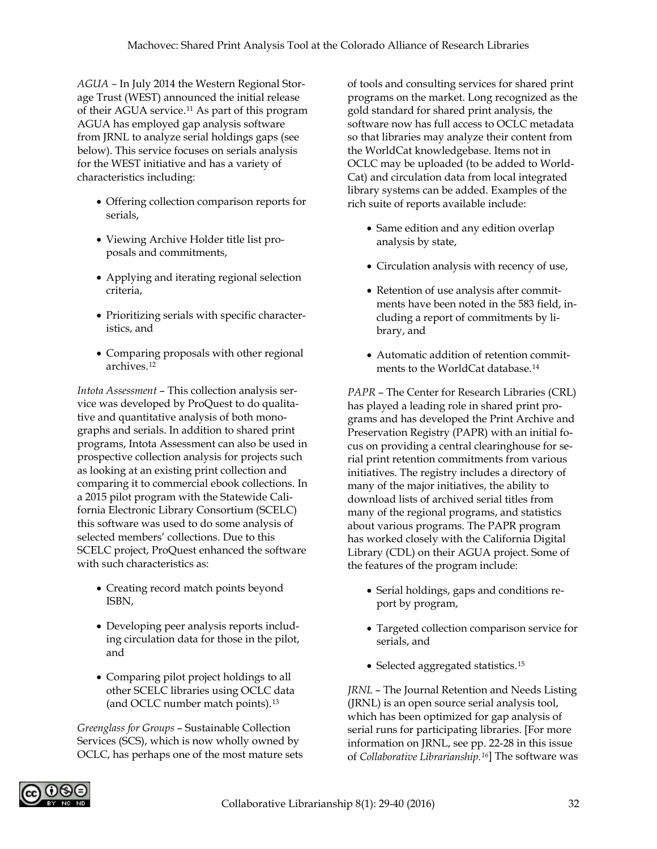*AGUA –* In July 2014 the Western Regional Storage Trust (WEST) announced the initial release of their AGUA service.[11](#page-10-1) As part of this program AGUA has employed gap analysis software from JRNL to analyze serial holdings gaps (see below). This service focuses on serials analysis for the WEST initiative and has a variety of characteristics including:

- Offering collection comparison reports for serials,
- Viewing Archive Holder title list proposals and commitments,
- Applying and iterating regional selection criteria,
- Prioritizing serials with specific characteristics, and
- Comparing proposals with other regional archives.[12](#page-10-2)

*Intota Assessment* – This collection analysis service was developed by ProQuest to do qualitative and quantitative analysis of both monographs and serials. In addition to shared print programs, Intota Assessment can also be used in prospective collection analysis for projects such as looking at an existing print collection and comparing it to commercial ebook collections. In a 2015 pilot program with the Statewide California Electronic Library Consortium (SCELC) this software was used to do some analysis of selected members' collections. Due to this SCELC project, ProQuest enhanced the software with such characteristics as:

- Creating record match points beyond ISBN,
- Developing peer analysis reports including circulation data for those in the pilot, and
- Comparing pilot project holdings to all other SCELC libraries using OCLC data (and OCLC number match points).[13](#page-10-3)

*Greenglass for Groups* – Sustainable Collection Services (SCS), which is now wholly owned by OCLC, has perhaps one of the most mature sets of tools and consulting services for shared print programs on the market. Long recognized as the gold standard for shared print analysis, the software now has full access to OCLC metadata so that libraries may analyze their content from the WorldCat knowledgebase. Items not in OCLC may be uploaded (to be added to World-Cat) and circulation data from local integrated library systems can be added. Examples of the rich suite of reports available include:

- Same edition and any edition overlap analysis by state,
- Circulation analysis with recency of use,
- Retention of use analysis after commitments have been noted in the 583 field, including a report of commitments by library, and
- Automatic addition of retention commitments to the WorldCat database.[14](#page-10-4)

*PAPR* – The Center for Research Libraries (CRL) has played a leading role in shared print programs and has developed the Print Archive and Preservation Registry (PAPR) with an initial focus on providing a central clearinghouse for serial print retention commitments from various initiatives. The registry includes a directory of many of the major initiatives, the ability to download lists of archived serial titles from many of the regional programs, and statistics about various programs. The PAPR program has worked closely with the California Digital Library (CDL) on their AGUA project. Some of the features of the program include:

- Serial holdings, gaps and conditions report by program,
- Targeted collection comparison service for serials, and
- Selected aggregated statistics.<sup>[15](#page-10-5)</sup>

*JRNL* – The Journal Retention and Needs Listing (JRNL) is an open source serial analysis tool, which has been optimized for gap analysis of serial runs for participating libraries. [For more information on JRNL, see pp. 22-28 in this issue of *Collaborative Librarianship.[16](#page-10-6)*] The software was

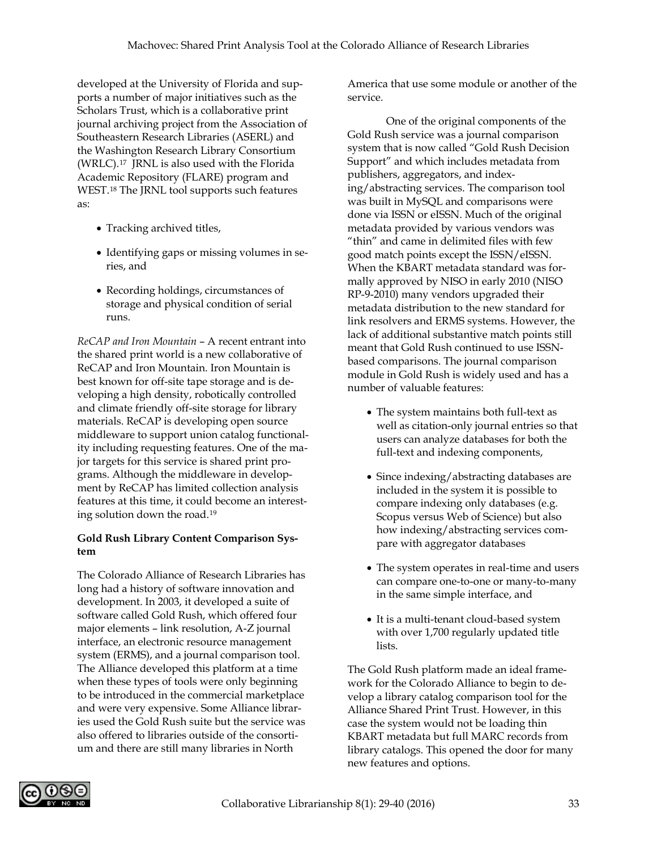developed at the University of Florida and supports a number of major initiatives such as the Scholars Trust, which is a collaborative print journal archiving project from the Association of Southeastern Research Libraries (ASERL) and the Washington Research Library Consortium (WRLC).[17](#page-10-7) JRNL is also used with the Florida Academic Repository (FLARE) program and WEST[.18](#page-11-0) The JRNL tool supports such features as:

- Tracking archived titles,
- Identifying gaps or missing volumes in series, and
- Recording holdings, circumstances of storage and physical condition of serial runs.

*ReCAP and Iron Mountain* – A recent entrant into the shared print world is a new collaborative of ReCAP and Iron Mountain. Iron Mountain is best known for off-site tape storage and is developing a high density, robotically controlled and climate friendly off-site storage for library materials. ReCAP is developing open source middleware to support union catalog functionality including requesting features. One of the major targets for this service is shared print programs. Although the middleware in development by ReCAP has limited collection analysis features at this time, it could become an interesting solution down the road.[19](#page-11-1)

#### **Gold Rush Library Content Comparison System**

The Colorado Alliance of Research Libraries has long had a history of software innovation and development. In 2003, it developed a suite of software called Gold Rush, which offered four major elements – link resolution, A-Z journal interface, an electronic resource management system (ERMS), and a journal comparison tool. The Alliance developed this platform at a time when these types of tools were only beginning to be introduced in the commercial marketplace and were very expensive. Some Alliance libraries used the Gold Rush suite but the service was also offered to libraries outside of the consortium and there are still many libraries in North

America that use some module or another of the service.

One of the original components of the Gold Rush service was a journal comparison system that is now called "Gold Rush Decision Support" and which includes metadata from publishers, aggregators, and indexing/abstracting services. The comparison tool was built in MySQL and comparisons were done via ISSN or eISSN. Much of the original metadata provided by various vendors was "thin" and came in delimited files with few good match points except the ISSN/eISSN. When the KBART metadata standard was formally approved by NISO in early 2010 (NISO RP-9-2010) many vendors upgraded their metadata distribution to the new standard for link resolvers and ERMS systems. However, the lack of additional substantive match points still meant that Gold Rush continued to use ISSNbased comparisons. The journal comparison module in Gold Rush is widely used and has a number of valuable features:

- The system maintains both full-text as well as citation-only journal entries so that users can analyze databases for both the full-text and indexing components,
- Since indexing/abstracting databases are included in the system it is possible to compare indexing only databases (e.g. Scopus versus Web of Science) but also how indexing/abstracting services compare with aggregator databases
- The system operates in real-time and users can compare one-to-one or many-to-many in the same simple interface, and
- It is a multi-tenant cloud-based system with over 1,700 regularly updated title lists.

The Gold Rush platform made an ideal framework for the Colorado Alliance to begin to develop a library catalog comparison tool for the Alliance Shared Print Trust. However, in this case the system would not be loading thin KBART metadata but full MARC records from library catalogs. This opened the door for many new features and options.

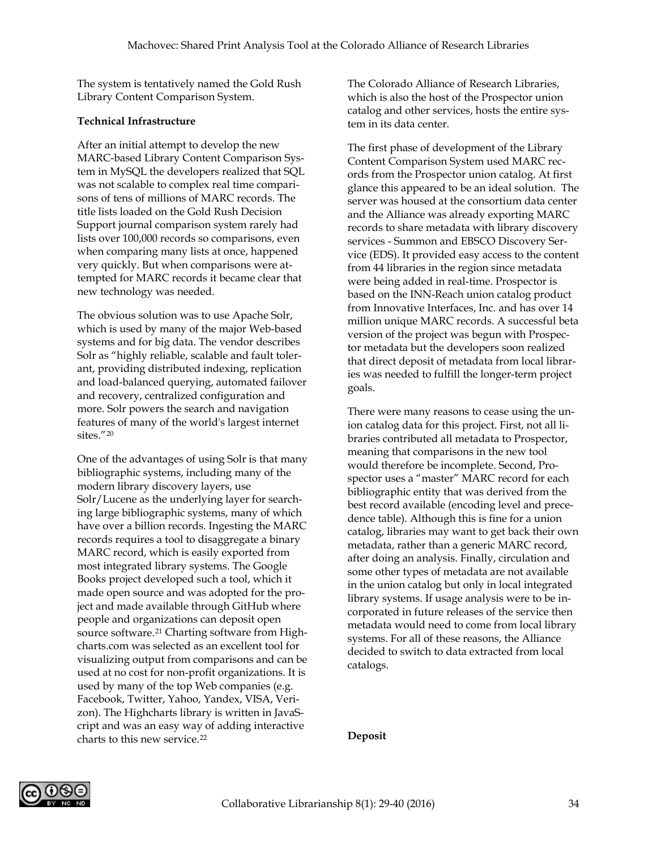The system is tentatively named the Gold Rush Library Content Comparison System.

#### **Technical Infrastructure**

After an initial attempt to develop the new MARC-based Library Content Comparison System in MySQL the developers realized that SQL was not scalable to complex real time comparisons of tens of millions of MARC records. The title lists loaded on the Gold Rush Decision Support journal comparison system rarely had lists over 100,000 records so comparisons, even when comparing many lists at once, happened very quickly. But when comparisons were attempted for MARC records it became clear that new technology was needed.

The obvious solution was to use Apache Solr, which is used by many of the major Web-based systems and for big data. The vendor describes Solr as "highly reliable, scalable and fault tolerant, providing distributed indexing, replication and load-balanced querying, automated failover and recovery, centralized configuration and more. Solr powers the search and navigation features of many of the world's largest internet sites."[20](#page-11-2)

One of the advantages of using Solr is that many bibliographic systems, including many of the modern library discovery layers, use Solr/Lucene as the underlying layer for searching large bibliographic systems, many of which have over a billion records. Ingesting the MARC records requires a tool to disaggregate a binary MARC record, which is easily exported from most integrated library systems. The Google Books project developed such a tool, which it made open source and was adopted for the project and made available through GitHub where people and organizations can deposit open source software.<sup>[21](#page-11-3)</sup> Charting software from Highcharts.com was selected as an excellent tool for visualizing output from comparisons and can be used at no cost for non-profit organizations. It is used by many of the top Web companies (e.g. Facebook, Twitter, Yahoo, Yandex, VISA, Verizon). The Highcharts library is written in JavaScript and was an easy way of adding interactive charts to this new service.[22](#page-11-4)

The Colorado Alliance of Research Libraries, which is also the host of the Prospector union catalog and other services, hosts the entire system in its data center.

The first phase of development of the Library Content Comparison System used MARC records from the Prospector union catalog. At first glance this appeared to be an ideal solution. The server was housed at the consortium data center and the Alliance was already exporting MARC records to share metadata with library discovery services - Summon and EBSCO Discovery Service (EDS). It provided easy access to the content from 44 libraries in the region since metadata were being added in real-time. Prospector is based on the INN-Reach union catalog product from Innovative Interfaces, Inc. and has over 14 million unique MARC records. A successful beta version of the project was begun with Prospector metadata but the developers soon realized that direct deposit of metadata from local libraries was needed to fulfill the longer-term project goals.

There were many reasons to cease using the union catalog data for this project. First, not all libraries contributed all metadata to Prospector, meaning that comparisons in the new tool would therefore be incomplete. Second, Prospector uses a "master" MARC record for each bibliographic entity that was derived from the best record available (encoding level and precedence table). Although this is fine for a union catalog, libraries may want to get back their own metadata, rather than a generic MARC record, after doing an analysis. Finally, circulation and some other types of metadata are not available in the union catalog but only in local integrated library systems. If usage analysis were to be incorporated in future releases of the service then metadata would need to come from local library systems. For all of these reasons, the Alliance decided to switch to data extracted from local catalogs.

#### **Deposit**

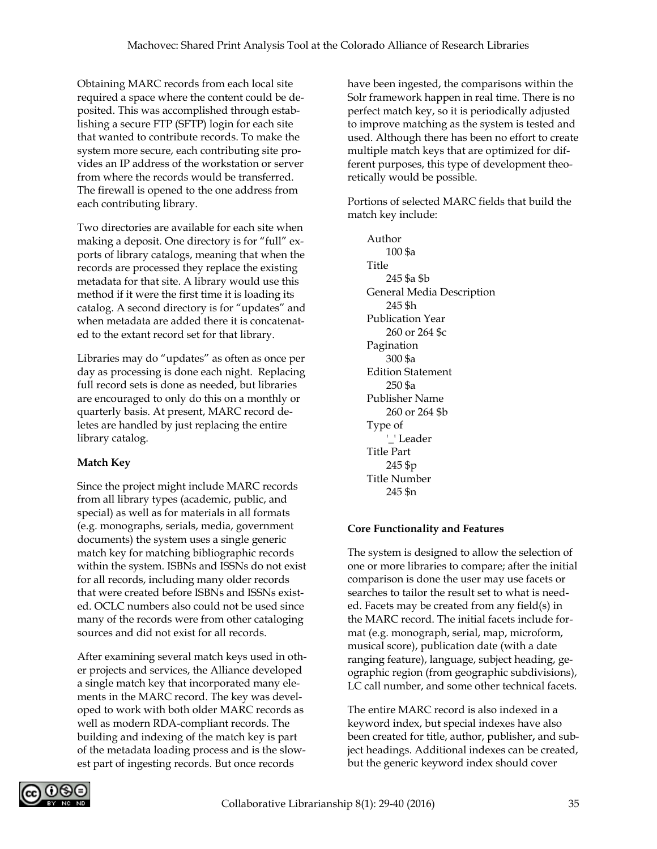Obtaining MARC records from each local site required a space where the content could be deposited. This was accomplished through establishing a secure FTP (SFTP) login for each site that wanted to contribute records. To make the system more secure, each contributing site provides an IP address of the workstation or server from where the records would be transferred. The firewall is opened to the one address from each contributing library.

Two directories are available for each site when making a deposit. One directory is for "full" exports of library catalogs, meaning that when the records are processed they replace the existing metadata for that site. A library would use this method if it were the first time it is loading its catalog. A second directory is for "updates" and when metadata are added there it is concatenated to the extant record set for that library.

Libraries may do "updates" as often as once per day as processing is done each night. Replacing full record sets is done as needed, but libraries are encouraged to only do this on a monthly or quarterly basis. At present, MARC record deletes are handled by just replacing the entire library catalog.

# **Match Key**

Since the project might include MARC records from all library types (academic, public, and special) as well as for materials in all formats (e.g. monographs, serials, media, government documents) the system uses a single generic match key for matching bibliographic records within the system. ISBNs and ISSNs do not exist for all records, including many older records that were created before ISBNs and ISSNs existed. OCLC numbers also could not be used since many of the records were from other cataloging sources and did not exist for all records.

After examining several match keys used in other projects and services, the Alliance developed a single match key that incorporated many elements in the MARC record. The key was developed to work with both older MARC records as well as modern RDA-compliant records. The building and indexing of the match key is part of the metadata loading process and is the slowest part of ingesting records. But once records

have been ingested, the comparisons within the Solr framework happen in real time. There is no perfect match key, so it is periodically adjusted to improve matching as the system is tested and used. Although there has been no effort to create multiple match keys that are optimized for different purposes, this type of development theoretically would be possible.

Portions of selected MARC fields that build the match key include:

Author 100 \$a Title 245 \$a \$b General Media Description 245 \$h Publication Year 260 or 264 \$c Pagination 300 \$a Edition Statement 250 \$a Publisher Name 260 or 264 \$b Type of '\_' Leader Title Part 245 \$p Title Number 245 \$n

# **Core Functionality and Features**

The system is designed to allow the selection of one or more libraries to compare; after the initial comparison is done the user may use facets or searches to tailor the result set to what is needed. Facets may be created from any field(s) in the MARC record. The initial facets include format (e.g. monograph, serial, map, microform, musical score), publication date (with a date ranging feature), language, subject heading, geographic region (from geographic subdivisions), LC call number, and some other technical facets.

The entire MARC record is also indexed in a keyword index, but special indexes have also been created for title, author, publisher**,** and subject headings. Additional indexes can be created, but the generic keyword index should cover

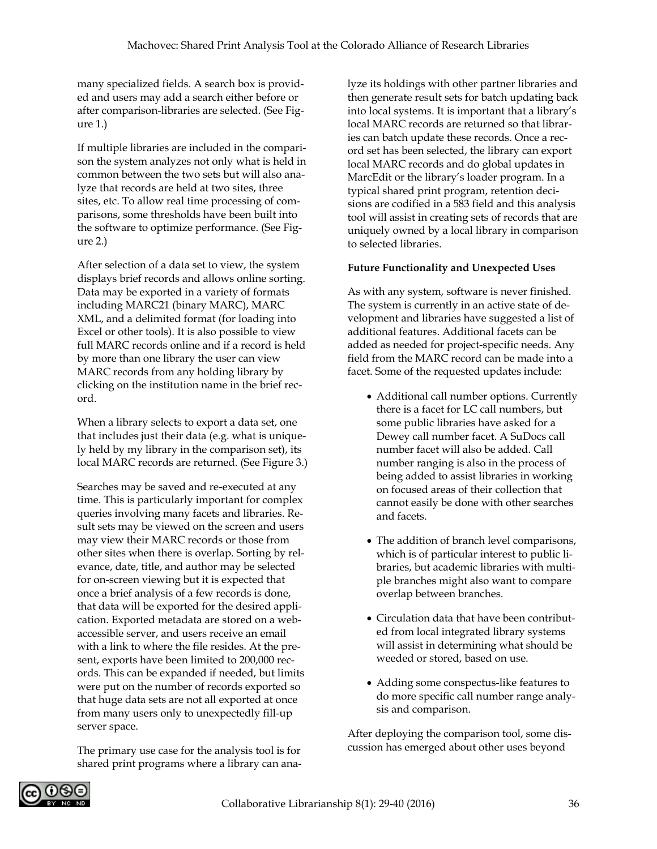many specialized fields. A search box is provided and users may add a search either before or after comparison-libraries are selected. (See Figure 1.)

If multiple libraries are included in the comparison the system analyzes not only what is held in common between the two sets but will also analyze that records are held at two sites, three sites, etc. To allow real time processing of comparisons, some thresholds have been built into the software to optimize performance. (See Figure 2.)

After selection of a data set to view, the system displays brief records and allows online sorting. Data may be exported in a variety of formats including MARC21 (binary MARC), MARC XML, and a delimited format (for loading into Excel or other tools). It is also possible to view full MARC records online and if a record is held by more than one library the user can view MARC records from any holding library by clicking on the institution name in the brief record.

When a library selects to export a data set, one that includes just their data (e.g. what is uniquely held by my library in the comparison set), its local MARC records are returned. (See Figure 3.)

Searches may be saved and re-executed at any time. This is particularly important for complex queries involving many facets and libraries. Result sets may be viewed on the screen and users may view their MARC records or those from other sites when there is overlap. Sorting by relevance, date, title, and author may be selected for on-screen viewing but it is expected that once a brief analysis of a few records is done, that data will be exported for the desired application. Exported metadata are stored on a webaccessible server, and users receive an email with a link to where the file resides. At the present, exports have been limited to 200,000 records. This can be expanded if needed, but limits were put on the number of records exported so that huge data sets are not all exported at once from many users only to unexpectedly fill-up server space.

The primary use case for the analysis tool is for shared print programs where a library can analyze its holdings with other partner libraries and then generate result sets for batch updating back into local systems. It is important that a library's local MARC records are returned so that libraries can batch update these records. Once a record set has been selected, the library can export local MARC records and do global updates in MarcEdit or the library's loader program. In a typical shared print program, retention decisions are codified in a 583 field and this analysis tool will assist in creating sets of records that are uniquely owned by a local library in comparison to selected libraries.

## **Future Functionality and Unexpected Uses**

As with any system, software is never finished. The system is currently in an active state of development and libraries have suggested a list of additional features. Additional facets can be added as needed for project-specific needs. Any field from the MARC record can be made into a facet. Some of the requested updates include:

- Additional call number options. Currently there is a facet for LC call numbers, but some public libraries have asked for a Dewey call number facet. A SuDocs call number facet will also be added. Call number ranging is also in the process of being added to assist libraries in working on focused areas of their collection that cannot easily be done with other searches and facets.
- The addition of branch level comparisons, which is of particular interest to public libraries, but academic libraries with multiple branches might also want to compare overlap between branches.
- Circulation data that have been contributed from local integrated library systems will assist in determining what should be weeded or stored, based on use.
- Adding some conspectus-like features to do more specific call number range analysis and comparison.

After deploying the comparison tool, some discussion has emerged about other uses beyond

<span id="page-8-0"></span>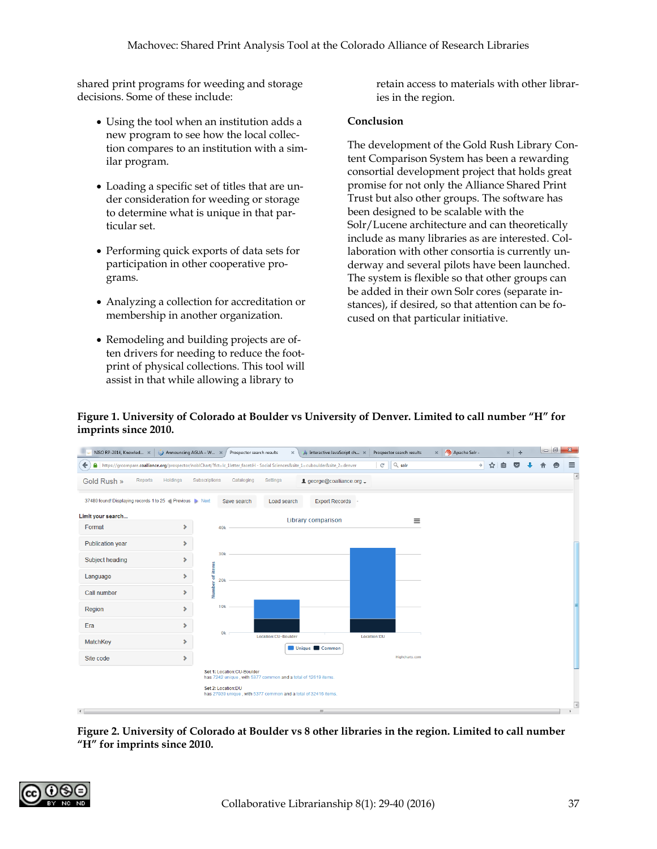shared print programs for weeding and storage decisions. Some of these include:

- Using the tool when an institution adds a new program to see how the local collection compares to an institution with a similar program.
- <span id="page-9-0"></span>• Loading a specific set of titles that are under consideration for weeding or storage to determine what is unique in that particular set.
- <span id="page-9-1"></span>• Performing quick exports of data sets for participation in other cooperative programs.
- <span id="page-9-2"></span>• Analyzing a collection for accreditation or membership in another organization.
- Remodeling and building projects are often drivers for needing to reduce the footprint of physical collections. This tool will assist in that while allowing a library to

retain access to materials with other libraries in the region.

#### **Conclusion**

The development of the Gold Rush Library Content Comparison System has been a rewarding consortial development project that holds great promise for not only the Alliance Shared Print Trust but also other groups. The software has been designed to be scalable with the Solr/Lucene architecture and can theoretically include as many libraries as are interested. Collaboration with other consortia is currently underway and several pilots have been launched. The system is flexible so that other groups can be added in their own Solr cores (separate instances), if desired, so that attention can be focused on that particular initiative.

<span id="page-9-5"></span><span id="page-9-4"></span>

#### <span id="page-9-3"></span>**Figure 1. University of Colorado at Boulder vs University of Denver. Limited to call number "H" for imprints since 2010.**

<span id="page-9-7"></span><span id="page-9-6"></span>**Figure 2. University of Colorado at Boulder vs 8 other libraries in the region. Limited to call number "H" for imprints since 2010.**

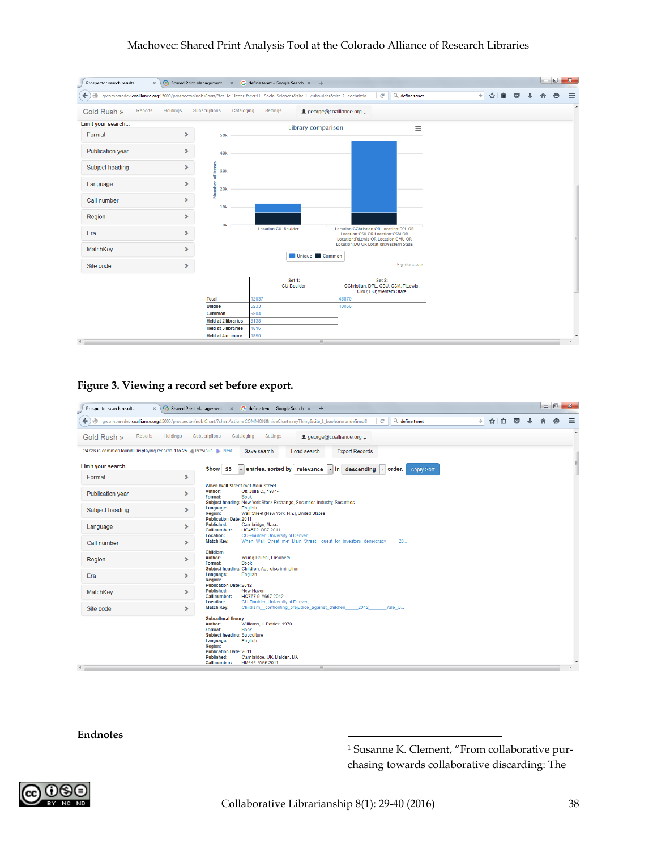# Machovec: Shared Print Analysis Tool at the Colorado Alliance of Research Libraries

<span id="page-10-1"></span><span id="page-10-0"></span>

| G define tenet - Google Search $\times$ +<br>Shared Print Management<br>Prospector search results<br>$\pmb{\times}$<br>$\times$ |                       |                                                 |                                                                                                                                     |                                                                                                                                |                          |               |     |                 |  |  |   |                  |  |  |
|---------------------------------------------------------------------------------------------------------------------------------|-----------------------|-------------------------------------------------|-------------------------------------------------------------------------------------------------------------------------------------|--------------------------------------------------------------------------------------------------------------------------------|--------------------------|---------------|-----|-----------------|--|--|---|------------------|--|--|
| $\leftarrow$<br>$\circledcirc$                                                                                                  |                       |                                                 | grcomparedev.coalliance.org:15000/prospector/noblChart/?fct=lc_1letter_facet:H - Social Sciences&site_1=cuboulder&site_2=cochristia | G                                                                                                                              | $Q_{\rm c}$ define tenet | $\rightarrow$ | ☆ 自 | $\triangledown$ |  |  | e | $\equiv$         |  |  |
| Reports<br>Gold Rush »                                                                                                          | Holdings              | Subscriptions<br>Cataloging                     | Settings                                                                                                                            | L george@coalliance.org _                                                                                                      |                          |               |     |                 |  |  |   | $\blacktriangle$ |  |  |
| Limit your search                                                                                                               |                       |                                                 |                                                                                                                                     | <b>Library comparison</b>                                                                                                      | $\equiv$                 |               |     |                 |  |  |   |                  |  |  |
| Format                                                                                                                          | ⋗                     | <b>50k</b>                                      |                                                                                                                                     |                                                                                                                                |                          |               |     |                 |  |  |   |                  |  |  |
| <b>Publication year</b>                                                                                                         | s.                    | 40 <sub>k</sub>                                 |                                                                                                                                     |                                                                                                                                |                          |               |     |                 |  |  |   |                  |  |  |
| Subject heading                                                                                                                 | ×.                    | 30 <sub>k</sub>                                 |                                                                                                                                     |                                                                                                                                |                          |               |     |                 |  |  |   |                  |  |  |
| Language                                                                                                                        | $\rightarrow$         | Number of items<br><b>20k</b>                   |                                                                                                                                     |                                                                                                                                |                          |               |     |                 |  |  |   |                  |  |  |
| Call number                                                                                                                     | $\rightarrow$         | 10k                                             |                                                                                                                                     |                                                                                                                                |                          |               |     |                 |  |  |   |                  |  |  |
| Region                                                                                                                          | $\blacktriangleright$ | 0 <sub>k</sub>                                  |                                                                                                                                     |                                                                                                                                |                          |               |     |                 |  |  |   |                  |  |  |
| Era                                                                                                                             | s.                    |                                                 | Location:CU-Boulder                                                                                                                 | <b>Location:CChristian OR Location:DPL OR</b><br><b>Location:CSU OR Location:CSM OR</b><br>Location:FtLewis OR Location:CMU OR |                          |               |     |                 |  |  |   |                  |  |  |
| MatchKey                                                                                                                        | $\rightarrow$         |                                                 |                                                                                                                                     | <b>Location:DU OR Location:Western State</b><br><b>Unique Common</b>                                                           |                          |               |     |                 |  |  |   |                  |  |  |
| Site code                                                                                                                       | ×.                    |                                                 |                                                                                                                                     |                                                                                                                                |                          |               |     |                 |  |  |   |                  |  |  |
|                                                                                                                                 |                       |                                                 | Set 1:<br><b>CU-Boulder</b>                                                                                                         | Set 2:<br>CChristian; DPL; CSU; CSM; FtLewis;<br>CMU; DU; Western State                                                        |                          |               |     |                 |  |  |   |                  |  |  |
|                                                                                                                                 |                       | <b>Total</b>                                    | 12037                                                                                                                               | 46870                                                                                                                          |                          |               |     |                 |  |  |   |                  |  |  |
|                                                                                                                                 |                       | <b>Unique</b>                                   | 5233                                                                                                                                | 40066                                                                                                                          |                          |               |     |                 |  |  |   |                  |  |  |
|                                                                                                                                 |                       | <b>Common</b>                                   | 6804                                                                                                                                |                                                                                                                                |                          |               |     |                 |  |  |   |                  |  |  |
|                                                                                                                                 |                       | <b>Held at 2 libraries</b>                      | 3138                                                                                                                                |                                                                                                                                |                          |               |     |                 |  |  |   |                  |  |  |
|                                                                                                                                 |                       | <b>Held at 3 libraries</b><br>Held at 4 or more | 1816<br>1850                                                                                                                        |                                                                                                                                |                          |               |     |                 |  |  |   |                  |  |  |
| $\left\{ \begin{array}{ccc} 1 & 1 \\ 1 & 1 \end{array} \right\}$                                                                |                       |                                                 |                                                                                                                                     | m.                                                                                                                             |                          |               |     |                 |  |  |   |                  |  |  |

<span id="page-10-3"></span><span id="page-10-2"></span>**Figure 3. Viewing a record set before export.**

<span id="page-10-5"></span><span id="page-10-4"></span>

| Shared Print Management $\mathbb{X}$<br>G define tenet - Google Search $\times$ +<br>Prospector search results<br>$\times$                   |                       |                                                                                                                                                                                     |                                                                                                                                     |                           |                  |                             |               |        |                 |  |  |   |                  |
|----------------------------------------------------------------------------------------------------------------------------------------------|-----------------------|-------------------------------------------------------------------------------------------------------------------------------------------------------------------------------------|-------------------------------------------------------------------------------------------------------------------------------------|---------------------------|------------------|-----------------------------|---------------|--------|-----------------|--|--|---|------------------|
| $\leftarrow$<br>⊛<br>grcomparedev.coalliance.org:15000/prospector/noblChart/?chartAction=COMMON&hideChart=anyThing&site_1_boolean=undefined& |                       |                                                                                                                                                                                     |                                                                                                                                     |                           |                  | Q define tenet<br>G         | $\rightarrow$ | ☆<br>自 | $\triangledown$ |  |  | e | $\equiv$         |
| Gold Rush »<br><b>Reports</b>                                                                                                                | Holdings              | <b>Subscriptions</b>                                                                                                                                                                | Settings<br>Cataloging                                                                                                              | L george@coalliance.org _ |                  |                             |               |        |                 |  |  |   | $\blacktriangle$ |
| 24726 in common found! Displaying records 1 to 25 Previous Next                                                                              |                       |                                                                                                                                                                                     | Save search                                                                                                                         | Load search               | Export Records - |                             |               |        |                 |  |  |   |                  |
| Limit your search                                                                                                                            |                       | Show<br>- 25                                                                                                                                                                        | - entries, sorted by relevance - in                                                                                                 |                           | descendina       | order.<br><b>Apply Sort</b> |               |        |                 |  |  |   |                  |
| Format                                                                                                                                       | ×.                    |                                                                                                                                                                                     |                                                                                                                                     |                           |                  |                             |               |        |                 |  |  |   |                  |
| <b>Publication year</b>                                                                                                                      | ×.                    | Author:<br>Format:                                                                                                                                                                  | <b>When Wall Street met Main Street</b><br>Ott, Julia C., 1974-<br><b>Book</b>                                                      |                           |                  |                             |               |        |                 |  |  |   |                  |
| Subject heading                                                                                                                              | ×.                    | Language:<br><b>Region:</b><br><b>Publication Date: 2011</b>                                                                                                                        | Subject heading: New York Stock Exchange, Securities industry, Securities<br>English<br>Wall Street (New York, N.Y.), United States |                           |                  |                             |               |        |                 |  |  |   |                  |
| Language                                                                                                                                     | ×.                    | <b>Published:</b><br>Call number:                                                                                                                                                   | Cambridge, Mass<br>HG4572.087 2011                                                                                                  |                           |                  |                             |               |        |                 |  |  |   |                  |
| Call number                                                                                                                                  | $\blacktriangleright$ | Location:<br><b>Match Key:</b>                                                                                                                                                      | CU-Boulder; University of Denver;<br>When_Wall_Street_met_Main_Street_quest_for_investors_democracy______20                         |                           |                  |                             |               |        |                 |  |  |   |                  |
| Region                                                                                                                                       | ×.                    | <b>Childism</b><br>Author:<br>Format:                                                                                                                                               | Young-Bruehl, Elisabeth<br><b>Book</b>                                                                                              |                           |                  |                             |               |        |                 |  |  |   |                  |
| Era                                                                                                                                          | ×.                    | Language:<br><b>Region:</b>                                                                                                                                                         | Subject heading: Children, Age discrimination<br>English                                                                            |                           |                  |                             |               |        |                 |  |  |   |                  |
| MatchKey                                                                                                                                     | ×.                    | <b>Publication Date: 2012</b><br><b>Published:</b><br>Call number:                                                                                                                  | New Haven<br>HQ767.9.Y667 2012                                                                                                      |                           |                  |                             |               |        |                 |  |  |   |                  |
| Site code                                                                                                                                    | $\blacktriangleright$ | <b>Location:</b><br><b>Match Key:</b>                                                                                                                                               | CU-Boulder: University of Denver:<br>Childism confronting prejudice against children 2012                                           |                           |                  | Yale U                      |               |        |                 |  |  |   |                  |
| $\leftarrow$                                                                                                                                 |                       | <b>Subcultural theory</b><br>Author:<br>Format:<br>Subject heading: Subculture<br>Language:<br><b>Region:</b><br><b>Publication Date: 2011</b><br><b>Published:</b><br>Call number: | Williams, J. Patrick, 1970-<br><b>Book</b><br><b>English</b><br>Cambridge, UK, Malden, MA<br>HM646 W55 2011                         | m.                        |                  |                             |               |        |                 |  |  |   |                  |

<span id="page-10-7"></span><span id="page-10-6"></span>**Endnotes**

<sup>1</sup> Susanne K. Clement, "From collaborative purchasing towards collaborative discarding: The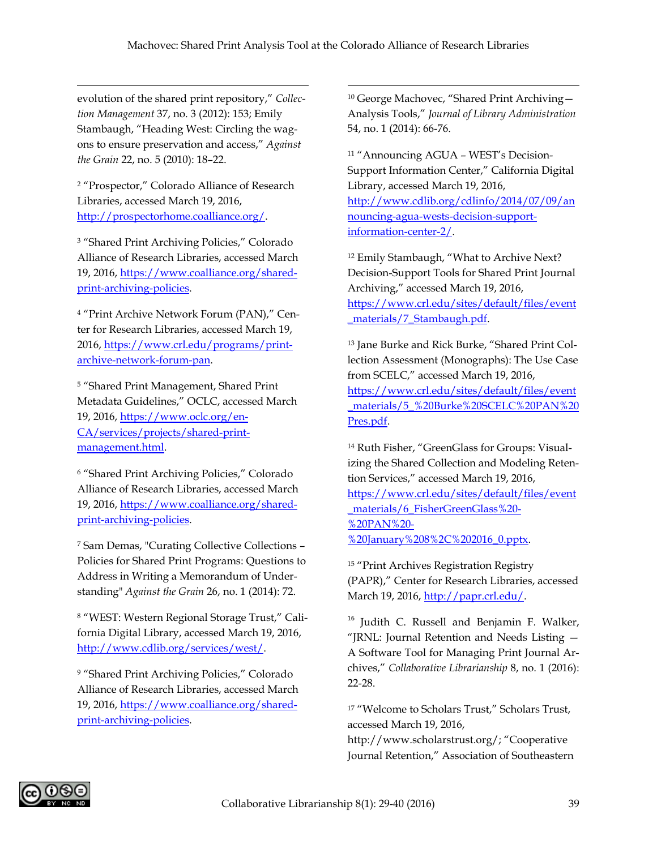$\overline{\phantom{a}}$ 

<span id="page-11-0"></span>evolution of the shared print repository," *Collection Management* 37, no. 3 (2012): 153; Emily Stambaugh, "Heading West: Circling the wagons to ensure preservation and access," *Against the Grain* 22, no. 5 (2010): 18–22.

 $\overline{\phantom{a}}$ 

<span id="page-11-1"></span><sup>2</sup> "Prospector," Colorado Alliance of Research Libraries, accessed March 19, 2016, [http://prospectorhome.coalliance.org/.](http://prospectorhome.coalliance.org/)

<sup>3</sup> "Shared Print Archiving Policies," Colorado Alliance of Research Libraries, accessed March 19, 2016, [https://www.coalliance.org/shared](https://www.coalliance.org/shared-print-archiving-policies)[print-archiving-policies.](https://www.coalliance.org/shared-print-archiving-policies)

<span id="page-11-3"></span><span id="page-11-2"></span><sup>4</sup> "Print Archive Network Forum (PAN)," Center for Research Libraries, accessed March 19, 2016, [https://www.crl.edu/programs/print](https://www.crl.edu/programs/print-archive-network-forum-pan)[archive-network-forum-pan.](https://www.crl.edu/programs/print-archive-network-forum-pan)

<span id="page-11-4"></span><sup>5</sup> "Shared Print Management, Shared Print Metadata Guidelines," OCLC, accessed March 19, 2016, [https://www.oclc.org/en-](https://www.oclc.org/en-CA/services/projects/shared-print-management.html)[CA/services/projects/shared-print](https://www.oclc.org/en-CA/services/projects/shared-print-management.html)[management.html.](https://www.oclc.org/en-CA/services/projects/shared-print-management.html)

<sup>6</sup> "Shared Print Archiving Policies," Colorado Alliance of Research Libraries, accessed March 19, 2016, [https://www.coalliance.org/shared](https://www.coalliance.org/shared-print-archiving-policies)[print-archiving-policies.](https://www.coalliance.org/shared-print-archiving-policies)

<sup>7</sup> Sam Demas, "Curating Collective Collections – Policies for Shared Print Programs: Questions to Address in Writing a Memorandum of Understanding" *Against the Grain* 26, no. 1 (2014): 72.

<sup>8</sup> "WEST: Western Regional Storage Trust," California Digital Library, accessed March 19, 2016, [http://www.cdlib.org/services/west/.](http://www.cdlib.org/services/west/)

<sup>9</sup> "Shared Print Archiving Policies," Colorado Alliance of Research Libraries, accessed March 19, 2016, [https://www.coalliance.org/shared](https://www.coalliance.org/shared-print-archiving-policies)[print-archiving-policies.](https://www.coalliance.org/shared-print-archiving-policies)

<sup>10</sup> George Machovec, "Shared Print Archiving— Analysis Tools," *Journal of Library Administration* 54, no. 1 (2014): 66-76.

<sup>11</sup> "Announcing AGUA – WEST's Decision-Support Information Center," California Digital Library, accessed March 19, 2016, [http://www.cdlib.org/cdlinfo/2014/07/09/an](http://www.cdlib.org/cdlinfo/2014/07/09/announcing-agua-wests-decision-support-information-center-2/) [nouncing-agua-wests-decision-support](http://www.cdlib.org/cdlinfo/2014/07/09/announcing-agua-wests-decision-support-information-center-2/)[information-center-2/.](http://www.cdlib.org/cdlinfo/2014/07/09/announcing-agua-wests-decision-support-information-center-2/)

<sup>12</sup> Emily Stambaugh, "What to Archive Next? Decision-Support Tools for Shared Print Journal Archiving," accessed March 19, 2016, [https://www.crl.edu/sites/default/files/event](https://www.crl.edu/sites/default/files/event_materials/7_Stambaugh.pdf) [\\_materials/7\\_Stambaugh.pdf.](https://www.crl.edu/sites/default/files/event_materials/7_Stambaugh.pdf)

<sup>13</sup> Jane Burke and Rick Burke, "Shared Print Collection Assessment (Monographs): The Use Case from SCELC," accessed March 19, 2016, [https://www.crl.edu/sites/default/files/event](https://www.crl.edu/sites/default/files/event_materials/5_%20Burke%20SCELC%20PAN%20Pres.pdf) [\\_materials/5\\_%20Burke%20SCELC%20PAN%20](https://www.crl.edu/sites/default/files/event_materials/5_%20Burke%20SCELC%20PAN%20Pres.pdf) [Pres.pdf.](https://www.crl.edu/sites/default/files/event_materials/5_%20Burke%20SCELC%20PAN%20Pres.pdf)

<sup>14</sup> Ruth Fisher, "GreenGlass for Groups: Visualizing the Shared Collection and Modeling Retention Services," accessed March 19, 2016, [https://www.crl.edu/sites/default/files/event](https://www.crl.edu/sites/default/files/event_materials/6_FisherGreenGlass%20-%20PAN%20-%20January%208%2C%202016_0.pptx) [\\_materials/6\\_FisherGreenGlass%20-](https://www.crl.edu/sites/default/files/event_materials/6_FisherGreenGlass%20-%20PAN%20-%20January%208%2C%202016_0.pptx) [%20PAN%20-](https://www.crl.edu/sites/default/files/event_materials/6_FisherGreenGlass%20-%20PAN%20-%20January%208%2C%202016_0.pptx) [%20January%208%2C%202016\\_0.pptx.](https://www.crl.edu/sites/default/files/event_materials/6_FisherGreenGlass%20-%20PAN%20-%20January%208%2C%202016_0.pptx)

<sup>15</sup> "Print Archives Registration Registry (PAPR)," Center for Research Libraries, accessed March 19, 2016, [http://papr.crl.edu/.](http://papr.crl.edu/)

<sup>16</sup> Judith C. Russell and Benjamin F. Walker, "JRNL: Journal Retention and Needs Listing — A Software Tool for Managing Print Journal Archives," *Collaborative Librarianship* 8, no. 1 (2016): 22-28.

<sup>17</sup> "Welcome to Scholars Trust," Scholars Trust, accessed March 19, 2016,

http://www.scholarstrust.org/; "Cooperative Journal Retention," Association of Southeastern